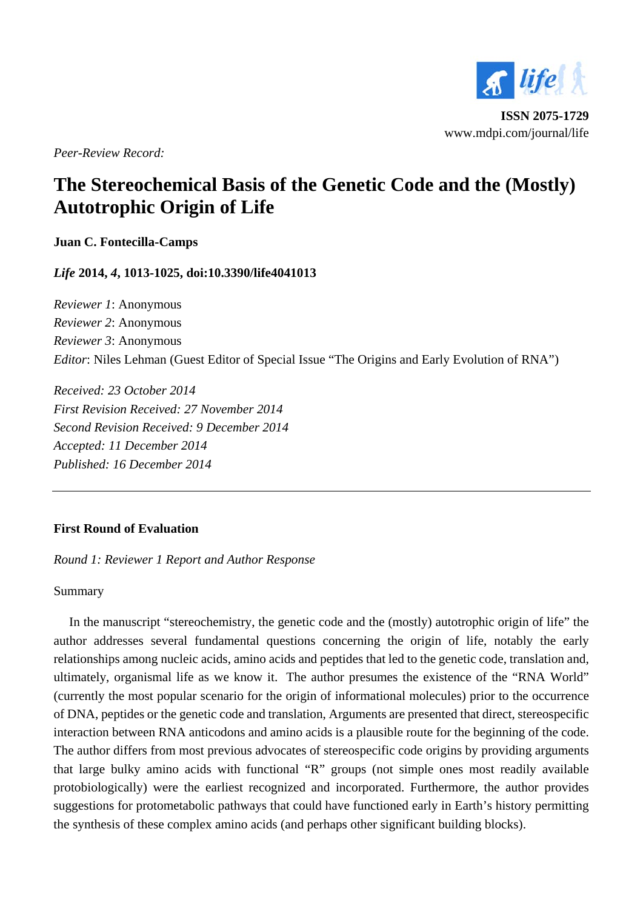

**ISSN 2075-1729**  www.mdpi.com/journal/life

*Peer-Review Record:* 

# **The Stereochemical Basis of the Genetic Code and the (Mostly) Autotrophic Origin of Life**

**Juan C. Fontecilla-Camps** 

## *Life* **2014,** *4***, 1013-1025, doi:10.3390/life4041013**

*Reviewer 1*: Anonymous *Reviewer 2*: Anonymous *Reviewer 3*: Anonymous *Editor*: Niles Lehman (Guest Editor of Special Issue "The Origins and Early Evolution of RNA")

*Received: 23 October 2014 First Revision Received: 27 November 2014 Second Revision Received: 9 December 2014 Accepted: 11 December 2014 Published: 16 December 2014* 

# **First Round of Evaluation**

*Round 1: Reviewer 1 Report and Author Response* 

Summary

In the manuscript "stereochemistry, the genetic code and the (mostly) autotrophic origin of life" the author addresses several fundamental questions concerning the origin of life, notably the early relationships among nucleic acids, amino acids and peptides that led to the genetic code, translation and, ultimately, organismal life as we know it. The author presumes the existence of the "RNA World" (currently the most popular scenario for the origin of informational molecules) prior to the occurrence of DNA, peptides or the genetic code and translation, Arguments are presented that direct, stereospecific interaction between RNA anticodons and amino acids is a plausible route for the beginning of the code. The author differs from most previous advocates of stereospecific code origins by providing arguments that large bulky amino acids with functional "R" groups (not simple ones most readily available protobiologically) were the earliest recognized and incorporated. Furthermore, the author provides suggestions for protometabolic pathways that could have functioned early in Earth's history permitting the synthesis of these complex amino acids (and perhaps other significant building blocks).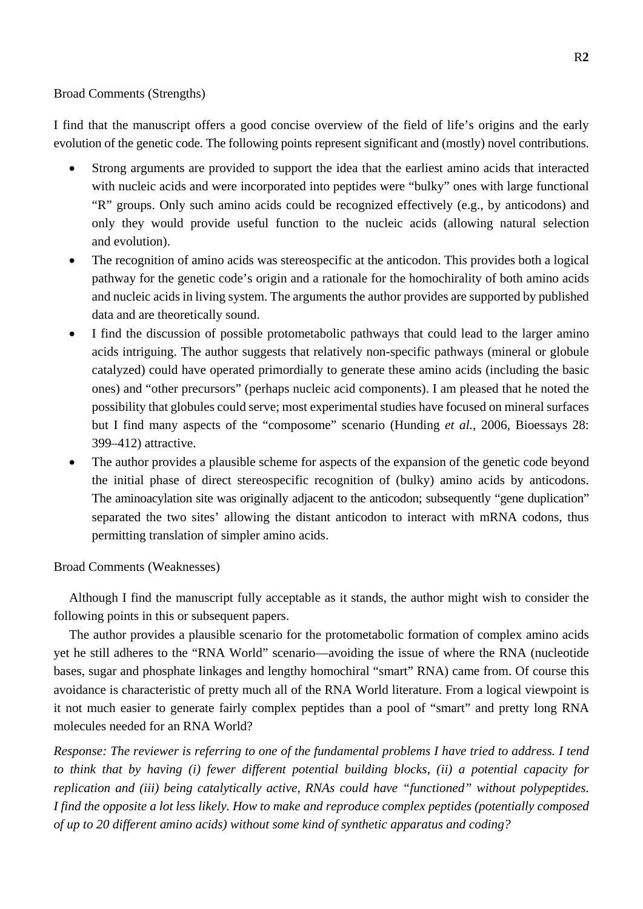## Broad Comments (Strengths)

I find that the manuscript offers a good concise overview of the field of life's origins and the early evolution of the genetic code. The following points represent significant and (mostly) novel contributions.

- Strong arguments are provided to support the idea that the earliest amino acids that interacted with nucleic acids and were incorporated into peptides were "bulky" ones with large functional "R" groups. Only such amino acids could be recognized effectively (e.g., by anticodons) and only they would provide useful function to the nucleic acids (allowing natural selection and evolution).
- The recognition of amino acids was stereospecific at the anticodon. This provides both a logical pathway for the genetic code's origin and a rationale for the homochirality of both amino acids and nucleic acids in living system. The arguments the author provides are supported by published data and are theoretically sound.
- I find the discussion of possible protometabolic pathways that could lead to the larger amino acids intriguing. The author suggests that relatively non-specific pathways (mineral or globule catalyzed) could have operated primordially to generate these amino acids (including the basic ones) and "other precursors" (perhaps nucleic acid components). I am pleased that he noted the possibility that globules could serve; most experimental studies have focused on mineral surfaces but I find many aspects of the "composome" scenario (Hunding *et al.*, 2006, Bioessays 28: 399–412) attractive.
- The author provides a plausible scheme for aspects of the expansion of the genetic code beyond the initial phase of direct stereospecific recognition of (bulky) amino acids by anticodons. The aminoacylation site was originally adjacent to the anticodon; subsequently "gene duplication" separated the two sites' allowing the distant anticodon to interact with mRNA codons, thus permitting translation of simpler amino acids.

## Broad Comments (Weaknesses)

Although I find the manuscript fully acceptable as it stands, the author might wish to consider the following points in this or subsequent papers.

The author provides a plausible scenario for the protometabolic formation of complex amino acids yet he still adheres to the "RNA World" scenario—avoiding the issue of where the RNA (nucleotide bases, sugar and phosphate linkages and lengthy homochiral "smart" RNA) came from. Of course this avoidance is characteristic of pretty much all of the RNA World literature. From a logical viewpoint is it not much easier to generate fairly complex peptides than a pool of "smart" and pretty long RNA molecules needed for an RNA World?

*Response: The reviewer is referring to one of the fundamental problems I have tried to address. I tend to think that by having (i) fewer different potential building blocks, (ii) a potential capacity for replication and (iii) being catalytically active, RNAs could have "functioned" without polypeptides. I find the opposite a lot less likely. How to make and reproduce complex peptides (potentially composed of up to 20 different amino acids) without some kind of synthetic apparatus and coding?*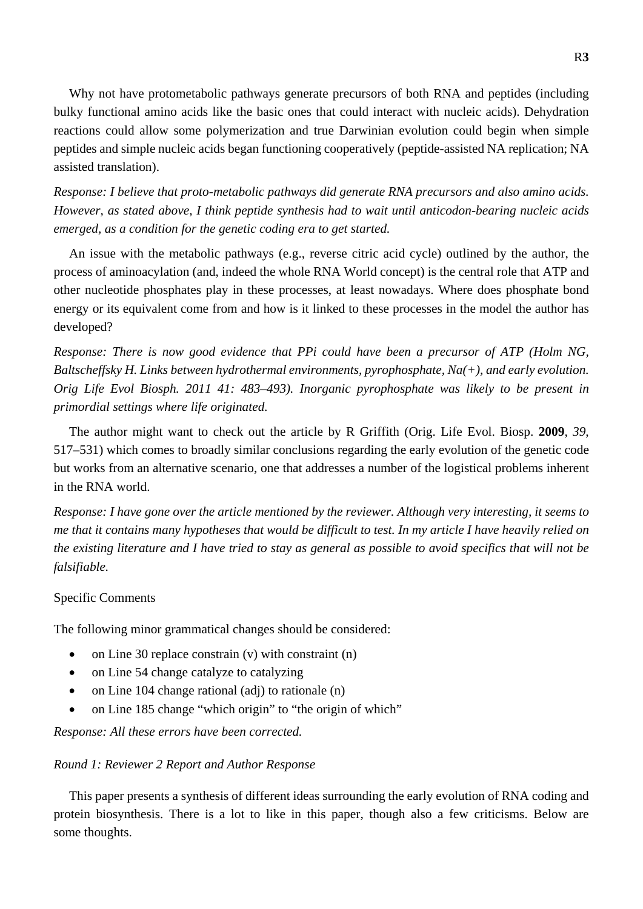Why not have protometabolic pathways generate precursors of both RNA and peptides (including bulky functional amino acids like the basic ones that could interact with nucleic acids). Dehydration reactions could allow some polymerization and true Darwinian evolution could begin when simple peptides and simple nucleic acids began functioning cooperatively (peptide-assisted NA replication; NA assisted translation).

*Response: I believe that proto-metabolic pathways did generate RNA precursors and also amino acids. However, as stated above, I think peptide synthesis had to wait until anticodon-bearing nucleic acids emerged, as a condition for the genetic coding era to get started.* 

An issue with the metabolic pathways (e.g., reverse citric acid cycle) outlined by the author, the process of aminoacylation (and, indeed the whole RNA World concept) is the central role that ATP and other nucleotide phosphates play in these processes, at least nowadays. Where does phosphate bond energy or its equivalent come from and how is it linked to these processes in the model the author has developed?

*Response: There is now good evidence that PPi could have been a precursor of ATP (Holm NG, Baltscheffsky H. Links between hydrothermal environments, pyrophosphate, Na(+), and early evolution. Orig Life Evol Biosph. 2011 41: 483–493). Inorganic pyrophosphate was likely to be present in primordial settings where life originated.* 

The author might want to check out the article by R Griffith (Orig. Life Evol. Biosp. **2009**, *39*, 517–531) which comes to broadly similar conclusions regarding the early evolution of the genetic code but works from an alternative scenario, one that addresses a number of the logistical problems inherent in the RNA world.

*Response: I have gone over the article mentioned by the reviewer. Although very interesting, it seems to me that it contains many hypotheses that would be difficult to test. In my article I have heavily relied on the existing literature and I have tried to stay as general as possible to avoid specifics that will not be falsifiable.* 

## Specific Comments

The following minor grammatical changes should be considered:

- on Line 30 replace constrain  $(v)$  with constraint  $(n)$
- on Line 54 change catalyze to catalyzing
- $\bullet$  on Line 104 change rational (adj) to rationale (n)
- on Line 185 change "which origin" to "the origin of which"

*Response: All these errors have been corrected.*

#### *Round 1: Reviewer 2 Report and Author Response*

This paper presents a synthesis of different ideas surrounding the early evolution of RNA coding and protein biosynthesis. There is a lot to like in this paper, though also a few criticisms. Below are some thoughts.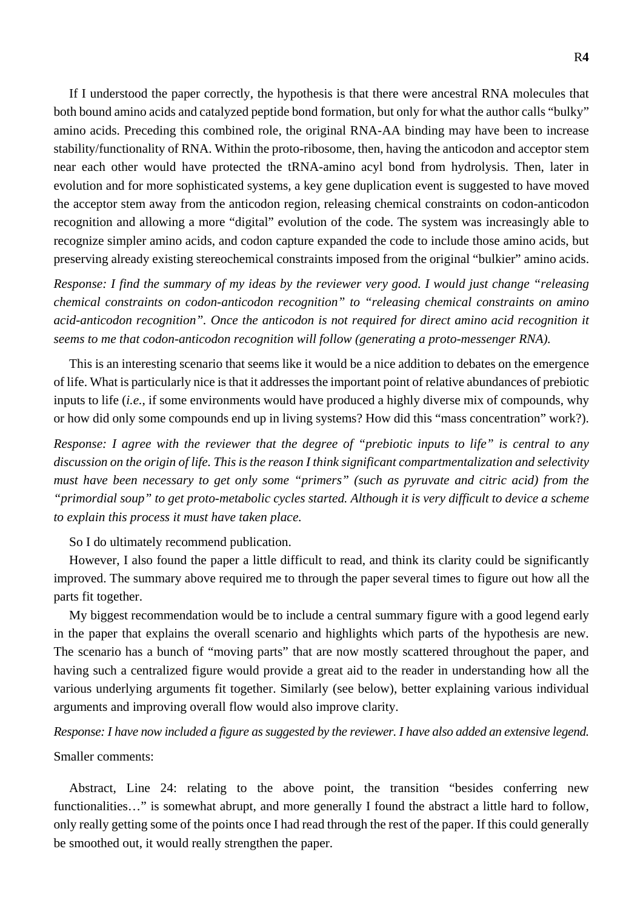If I understood the paper correctly, the hypothesis is that there were ancestral RNA molecules that both bound amino acids and catalyzed peptide bond formation, but only for what the author calls "bulky" amino acids. Preceding this combined role, the original RNA-AA binding may have been to increase stability/functionality of RNA. Within the proto-ribosome, then, having the anticodon and acceptor stem near each other would have protected the tRNA-amino acyl bond from hydrolysis. Then, later in evolution and for more sophisticated systems, a key gene duplication event is suggested to have moved the acceptor stem away from the anticodon region, releasing chemical constraints on codon-anticodon recognition and allowing a more "digital" evolution of the code. The system was increasingly able to recognize simpler amino acids, and codon capture expanded the code to include those amino acids, but preserving already existing stereochemical constraints imposed from the original "bulkier" amino acids.

*Response: I find the summary of my ideas by the reviewer very good. I would just change "releasing chemical constraints on codon-anticodon recognition" to "releasing chemical constraints on amino acid-anticodon recognition". Once the anticodon is not required for direct amino acid recognition it seems to me that codon-anticodon recognition will follow (generating a proto-messenger RNA).* 

This is an interesting scenario that seems like it would be a nice addition to debates on the emergence of life. What is particularly nice is that it addresses the important point of relative abundances of prebiotic inputs to life (*i.e.*, if some environments would have produced a highly diverse mix of compounds, why or how did only some compounds end up in living systems? How did this "mass concentration" work?).

*Response: I agree with the reviewer that the degree of "prebiotic inputs to life" is central to any discussion on the origin of life. This is the reason I think significant compartmentalization and selectivity must have been necessary to get only some "primers" (such as pyruvate and citric acid) from the "primordial soup" to get proto-metabolic cycles started. Although it is very difficult to device a scheme to explain this process it must have taken place.* 

So I do ultimately recommend publication.

However, I also found the paper a little difficult to read, and think its clarity could be significantly improved. The summary above required me to through the paper several times to figure out how all the parts fit together.

My biggest recommendation would be to include a central summary figure with a good legend early in the paper that explains the overall scenario and highlights which parts of the hypothesis are new. The scenario has a bunch of "moving parts" that are now mostly scattered throughout the paper, and having such a centralized figure would provide a great aid to the reader in understanding how all the various underlying arguments fit together. Similarly (see below), better explaining various individual arguments and improving overall flow would also improve clarity.

*Response: I have now included a figure as suggested by the reviewer. I have also added an extensive legend.*  Smaller comments:

Abstract, Line 24: relating to the above point, the transition "besides conferring new functionalities..." is somewhat abrupt, and more generally I found the abstract a little hard to follow, only really getting some of the points once I had read through the rest of the paper. If this could generally be smoothed out, it would really strengthen the paper.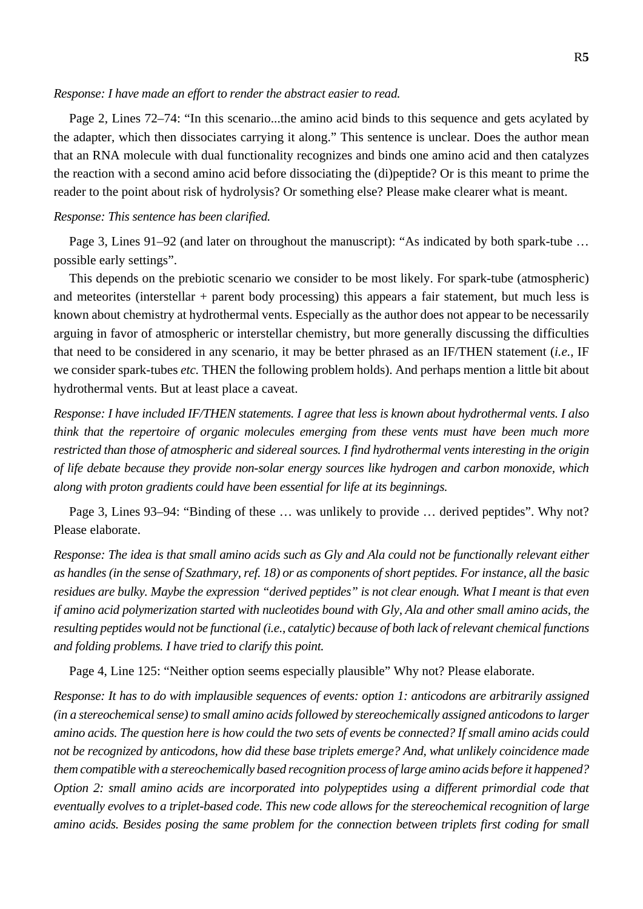#### *Response: I have made an effort to render the abstract easier to read.*

Page 2, Lines 72–74: "In this scenario...the amino acid binds to this sequence and gets acylated by the adapter, which then dissociates carrying it along." This sentence is unclear. Does the author mean that an RNA molecule with dual functionality recognizes and binds one amino acid and then catalyzes the reaction with a second amino acid before dissociating the (di)peptide? Or is this meant to prime the reader to the point about risk of hydrolysis? Or something else? Please make clearer what is meant.

#### *Response: This sentence has been clarified.*

Page 3, Lines 91–92 (and later on throughout the manuscript): "As indicated by both spark-tube … possible early settings".

This depends on the prebiotic scenario we consider to be most likely. For spark-tube (atmospheric) and meteorites (interstellar + parent body processing) this appears a fair statement, but much less is known about chemistry at hydrothermal vents. Especially as the author does not appear to be necessarily arguing in favor of atmospheric or interstellar chemistry, but more generally discussing the difficulties that need to be considered in any scenario, it may be better phrased as an IF/THEN statement (*i.e.*, IF we consider spark-tubes *etc.* THEN the following problem holds). And perhaps mention a little bit about hydrothermal vents. But at least place a caveat.

*Response: I have included IF/THEN statements. I agree that less is known about hydrothermal vents. I also think that the repertoire of organic molecules emerging from these vents must have been much more restricted than those of atmospheric and sidereal sources. I find hydrothermal vents interesting in the origin of life debate because they provide non-solar energy sources like hydrogen and carbon monoxide, which along with proton gradients could have been essential for life at its beginnings.* 

Page 3, Lines 93–94: "Binding of these … was unlikely to provide … derived peptides". Why not? Please elaborate.

*Response: The idea is that small amino acids such as Gly and Ala could not be functionally relevant either as handles (in the sense of Szathmary, ref. 18) or as components of short peptides. For instance, all the basic residues are bulky. Maybe the expression "derived peptides" is not clear enough. What I meant is that even if amino acid polymerization started with nucleotides bound with Gly, Ala and other small amino acids, the resulting peptides would not be functional (i.e., catalytic) because of both lack of relevant chemical functions and folding problems. I have tried to clarify this point.* 

Page 4, Line 125: "Neither option seems especially plausible" Why not? Please elaborate.

*Response: It has to do with implausible sequences of events: option 1: anticodons are arbitrarily assigned (in a stereochemical sense) to small amino acids followed by stereochemically assigned anticodons to larger amino acids. The question here is how could the two sets of events be connected? If small amino acids could not be recognized by anticodons, how did these base triplets emerge? And, what unlikely coincidence made them compatible with a stereochemically based recognition process of large amino acids before it happened? Option 2: small amino acids are incorporated into polypeptides using a different primordial code that eventually evolves to a triplet-based code. This new code allows for the stereochemical recognition of large amino acids. Besides posing the same problem for the connection between triplets first coding for small*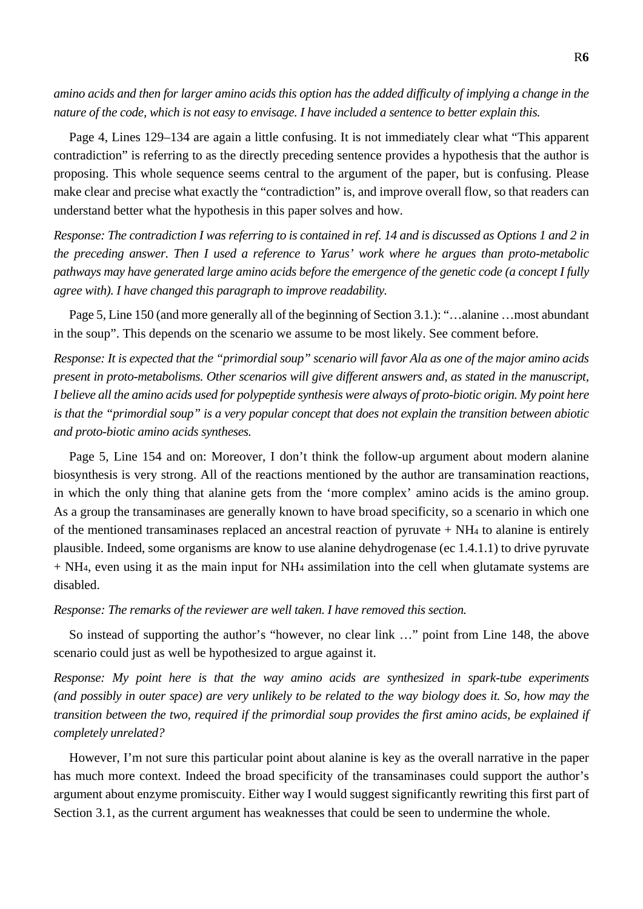*amino acids and then for larger amino acids this option has the added difficulty of implying a change in the nature of the code, which is not easy to envisage. I have included a sentence to better explain this.* 

Page 4, Lines 129–134 are again a little confusing. It is not immediately clear what "This apparent contradiction" is referring to as the directly preceding sentence provides a hypothesis that the author is proposing. This whole sequence seems central to the argument of the paper, but is confusing. Please make clear and precise what exactly the "contradiction" is, and improve overall flow, so that readers can understand better what the hypothesis in this paper solves and how.

*Response: The contradiction I was referring to is contained in ref. 14 and is discussed as Options 1 and 2 in the preceding answer. Then I used a reference to Yarus' work where he argues than proto-metabolic pathways may have generated large amino acids before the emergence of the genetic code (a concept I fully agree with). I have changed this paragraph to improve readability.* 

Page 5, Line 150 (and more generally all of the beginning of Section 3.1.): "…alanine …most abundant in the soup". This depends on the scenario we assume to be most likely. See comment before.

*Response: It is expected that the "primordial soup" scenario will favor Ala as one of the major amino acids present in proto-metabolisms. Other scenarios will give different answers and, as stated in the manuscript, I believe all the amino acids used for polypeptide synthesis were always of proto-biotic origin. My point here is that the "primordial soup" is a very popular concept that does not explain the transition between abiotic and proto-biotic amino acids syntheses.* 

Page 5, Line 154 and on: Moreover, I don't think the follow-up argument about modern alanine biosynthesis is very strong. All of the reactions mentioned by the author are transamination reactions, in which the only thing that alanine gets from the 'more complex' amino acids is the amino group. As a group the transaminases are generally known to have broad specificity, so a scenario in which one of the mentioned transaminases replaced an ancestral reaction of pyruvate  $+NH<sub>4</sub>$  to alanine is entirely plausible. Indeed, some organisms are know to use alanine dehydrogenase (ec 1.4.1.1) to drive pyruvate  $+$  NH<sub>4</sub>, even using it as the main input for NH<sub>4</sub> assimilation into the cell when glutamate systems are disabled.

#### *Response: The remarks of the reviewer are well taken. I have removed this section.*

So instead of supporting the author's "however, no clear link …" point from Line 148, the above scenario could just as well be hypothesized to argue against it.

*Response: My point here is that the way amino acids are synthesized in spark-tube experiments (and possibly in outer space) are very unlikely to be related to the way biology does it. So, how may the transition between the two, required if the primordial soup provides the first amino acids, be explained if completely unrelated?* 

However, I'm not sure this particular point about alanine is key as the overall narrative in the paper has much more context. Indeed the broad specificity of the transaminases could support the author's argument about enzyme promiscuity. Either way I would suggest significantly rewriting this first part of Section 3.1, as the current argument has weaknesses that could be seen to undermine the whole.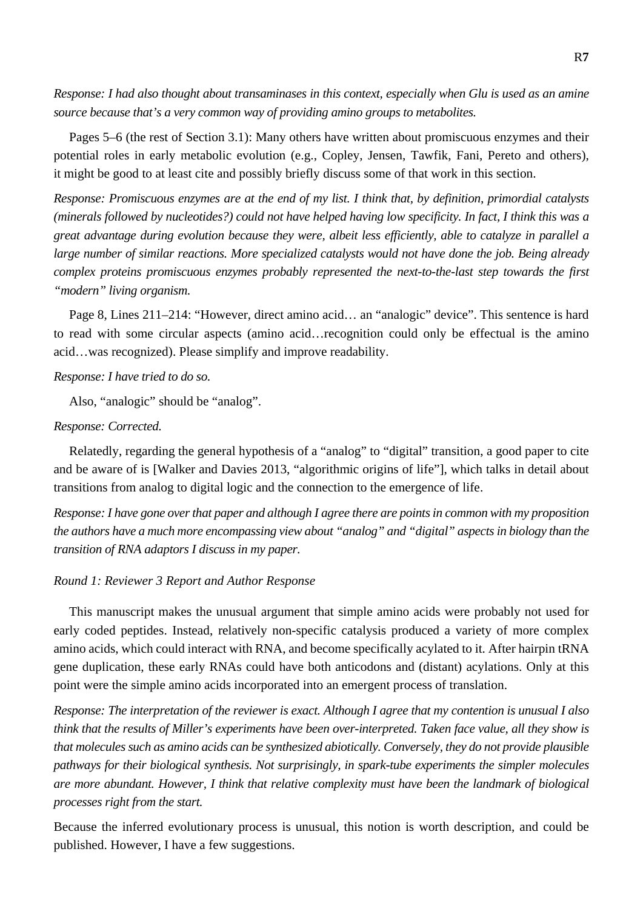*Response: I had also thought about transaminases in this context, especially when Glu is used as an amine source because that's a very common way of providing amino groups to metabolites.* 

Pages 5–6 (the rest of Section 3.1): Many others have written about promiscuous enzymes and their potential roles in early metabolic evolution (e.g., Copley, Jensen, Tawfik, Fani, Pereto and others), it might be good to at least cite and possibly briefly discuss some of that work in this section.

*Response: Promiscuous enzymes are at the end of my list. I think that, by definition, primordial catalysts (minerals followed by nucleotides?) could not have helped having low specificity. In fact, I think this was a great advantage during evolution because they were, albeit less efficiently, able to catalyze in parallel a large number of similar reactions. More specialized catalysts would not have done the job. Being already complex proteins promiscuous enzymes probably represented the next-to-the-last step towards the first "modern" living organism.* 

Page 8, Lines 211–214: "However, direct amino acid… an "analogic" device". This sentence is hard to read with some circular aspects (amino acid…recognition could only be effectual is the amino acid…was recognized). Please simplify and improve readability.

#### *Response: I have tried to do so.*

Also, "analogic" should be "analog".

#### *Response: Corrected.*

Relatedly, regarding the general hypothesis of a "analog" to "digital" transition, a good paper to cite and be aware of is [Walker and Davies 2013, "algorithmic origins of life"], which talks in detail about transitions from analog to digital logic and the connection to the emergence of life.

*Response: I have gone over that paper and although I agree there are points in common with my proposition the authors have a much more encompassing view about "analog" and "digital" aspects in biology than the transition of RNA adaptors I discuss in my paper.* 

#### *Round 1: Reviewer 3 Report and Author Response*

This manuscript makes the unusual argument that simple amino acids were probably not used for early coded peptides. Instead, relatively non-specific catalysis produced a variety of more complex amino acids, which could interact with RNA, and become specifically acylated to it. After hairpin tRNA gene duplication, these early RNAs could have both anticodons and (distant) acylations. Only at this point were the simple amino acids incorporated into an emergent process of translation.

*Response: The interpretation of the reviewer is exact. Although I agree that my contention is unusual I also think that the results of Miller's experiments have been over-interpreted. Taken face value, all they show is that molecules such as amino acids can be synthesized abiotically. Conversely, they do not provide plausible pathways for their biological synthesis. Not surprisingly, in spark-tube experiments the simpler molecules are more abundant. However, I think that relative complexity must have been the landmark of biological processes right from the start.* 

Because the inferred evolutionary process is unusual, this notion is worth description, and could be published. However, I have a few suggestions.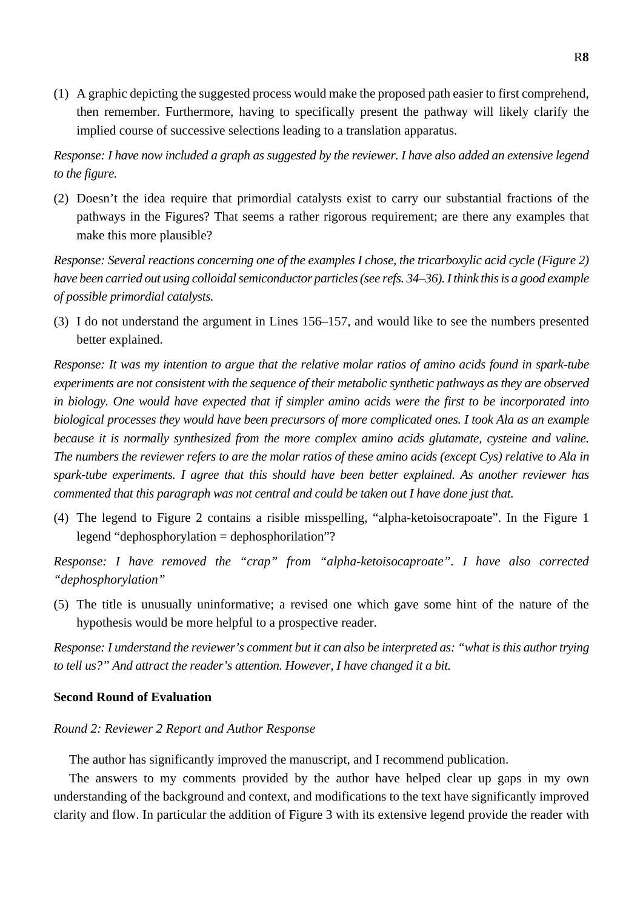(1) A graphic depicting the suggested process would make the proposed path easier to first comprehend, then remember. Furthermore, having to specifically present the pathway will likely clarify the implied course of successive selections leading to a translation apparatus.

*Response: I have now included a graph as suggested by the reviewer. I have also added an extensive legend to the figure.* 

(2) Doesn't the idea require that primordial catalysts exist to carry our substantial fractions of the pathways in the Figures? That seems a rather rigorous requirement; are there any examples that make this more plausible?

*Response: Several reactions concerning one of the examples I chose, the tricarboxylic acid cycle (Figure 2) have been carried out using colloidal semiconductor particles (see refs. 34–36). I think this is a good example of possible primordial catalysts.* 

(3) I do not understand the argument in Lines 156–157, and would like to see the numbers presented better explained.

*Response: It was my intention to argue that the relative molar ratios of amino acids found in spark-tube experiments are not consistent with the sequence of their metabolic synthetic pathways as they are observed in biology. One would have expected that if simpler amino acids were the first to be incorporated into biological processes they would have been precursors of more complicated ones. I took Ala as an example because it is normally synthesized from the more complex amino acids glutamate, cysteine and valine. The numbers the reviewer refers to are the molar ratios of these amino acids (except Cys) relative to Ala in spark-tube experiments. I agree that this should have been better explained. As another reviewer has commented that this paragraph was not central and could be taken out I have done just that.* 

(4) The legend to Figure 2 contains a risible misspelling, "alpha-ketoisocrapoate". In the Figure 1 legend "dephosphorylation = dephosphorilation"?

*Response: I have removed the "crap" from "alpha-ketoisocaproate". I have also corrected "dephosphorylation"* 

(5) The title is unusually uninformative; a revised one which gave some hint of the nature of the hypothesis would be more helpful to a prospective reader.

*Response: I understand the reviewer's comment but it can also be interpreted as: "what is this author trying to tell us?" And attract the reader's attention. However, I have changed it a bit.* 

#### **Second Round of Evaluation**

### *Round 2: Reviewer 2 Report and Author Response*

The author has significantly improved the manuscript, and I recommend publication.

The answers to my comments provided by the author have helped clear up gaps in my own understanding of the background and context, and modifications to the text have significantly improved clarity and flow. In particular the addition of Figure 3 with its extensive legend provide the reader with